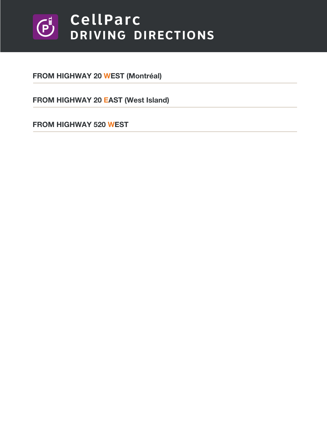## **CellParc**  $\left(\overline{P}\right)$ DRIVING DIRECTIONS

**[FROM HIGHWAY 20 WEST \(Montréal\)](#page-1-0)**

**[FROM HIGHWAY 20 EAST \(West Island\)](#page-2-0)**

**[FROM HIGHWAY 520 WEST](#page-3-0)**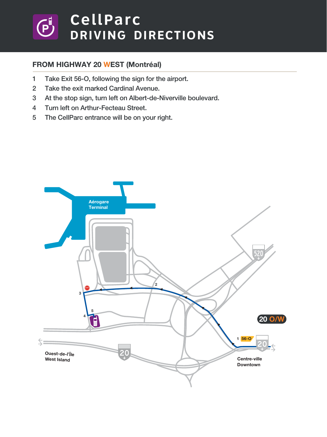## <span id="page-1-0"></span>CellParc  $\bigoplus^{\exists}$ DRIVING DIRECTIONS

### **FROM HIGHWAY 20 WEST (Montréal)**

- **1 Take Exit 56-O, following the sign for the airport.**
- **2 Take the exit marked Cardinal Avenue.**
- **3 At the stop sign, turn left on Albert-de-Niverville boulevard.**
- **4 Turn left on Arthur-Fecteau Street.**
- **5 The CellParc entrance will be on your right.**

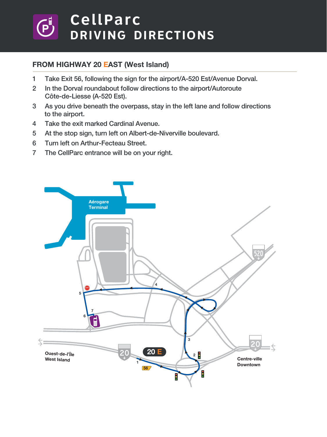# <span id="page-2-0"></span>CellParc DRIVING DIRECTIONS

### **FROM HIGHWAY 20 EAST (West Island)**

- **1 Take Exit 56, following the sign for the airport/A-520 Est/Avenue Dorval.**
- **2 In the Dorval roundabout follow directions to the airport/Autoroute Côte-de-Liesse (A-520 Est).**
- **3 As you drive beneath the overpass, stay in the left lane and follow directions to the airport.**
- **4 Take the exit marked Cardinal Avenue.**
- **5 At the stop sign, turn left on Albert-de-Niverville boulevard.**
- **6 Turn left on Arthur-Fecteau Street.**
- **7 The CellParc entrance will be on your right.**